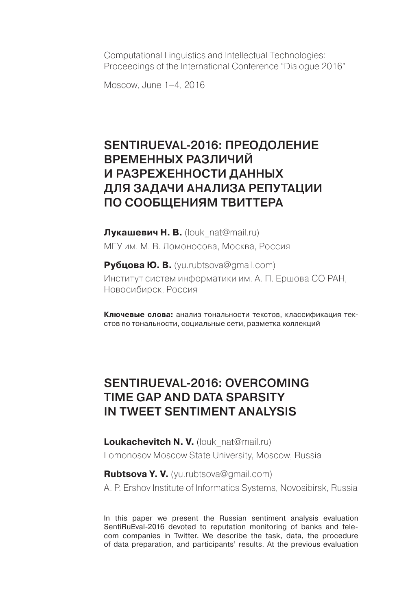Computational Linguistics and Intellectual Technologies: Proceedings of the International Conference "Dialogue 2016"

Moscow, June 1–4, 2016

## SENTIRUEVAL-2016: ПРЕОДОЛЕНИЕ временных различий и разреженности данных для задачи анализа репутации по сообщениям Твиттера

**Лукашевич Н. В.** (louk\_nat@mail.ru) МГУ им. М. В. Ломоносова, Москва, Россия

**Рубцова Ю. В.** (yu.rubtsova@gmail.com) Институт систем информатики им. А. П. Ершова СО РАН, Новосибирск, Россия

**Ключевые слова:** анализ тональности текстов, классификация текстов по тональности, социальные сети, разметка коллекций

## SentiRuEval-2016: Overcoming Time Gap and Data Sparsity in Tweet Sentiment Analysis

**Loukachevitch N. V.** (louk nat@mail.ru) Lomonosov Moscow State University, Moscow, Russia

**Rubtsova Y. V.** (yu.rubtsova@gmail.com) A. P. Ershov Institute of Informatics Systems, Novosibirsk, Russia

In this paper we present the Russian sentiment analysis evaluation SentiRuEval-2016 devoted to reputation monitoring of banks and telecom companies in Twitter. We describe the task, data, the procedure of data preparation, and participants' results. At the previous evaluation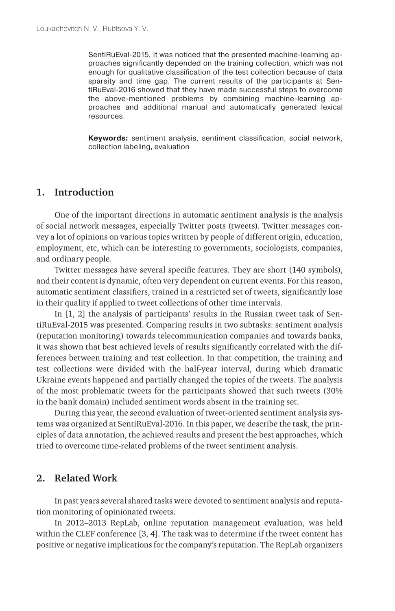SentiRuEval-2015, it was noticed that the presented machine-learning approaches significantly depended on the training collection, which was not enough for qualitative classification of the test collection because of data sparsity and time gap. The current results of the participants at SentiRuEval-2016 showed that they have made successful steps to overcome the above-mentioned problems by combining machine-learning approaches and additional manual and automatically generated lexical resources.

**Keywords:** sentiment analysis, sentiment classification, social network, collection labeling, evaluation

#### **1. Introduction**

One of the important directions in automatic sentiment analysis is the analysis of social network messages, especially Twitter posts (tweets). Twitter messages convey a lot of opinions on various topics written by people of different origin, education, employment, etc, which can be interesting to governments, sociologists, companies, and ordinary people.

Twitter messages have several specific features. They are short (140 symbols), and their content is dynamic, often very dependent on current events. For this reason, automatic sentiment classifiers, trained in a restricted set of tweets, significantly lose in their quality if applied to tweet collections of other time intervals.

In [1, 2] the analysis of participants' results in the Russian tweet task of SentiRuEval-2015 was presented. Comparing results in two subtasks: sentiment analysis (reputation monitoring) towards telecommunication companies and towards banks, it was shown that best achieved levels of results significantly correlated with the differences between training and test collection. In that competition, the training and test collections were divided with the half-year interval, during which dramatic Ukraine events happened and partially changed the topics of the tweets. The analysis of the most problematic tweets for the participants showed that such tweets (30% in the bank domain) included sentiment words absent in the training set.

During this year, the second evaluation of tweet-oriented sentiment analysis systems was organized at SentiRuEval-2016. In this paper, we describe the task, the principles of data annotation, the achieved results and present the best approaches, which tried to overcome time-related problems of the tweet sentiment analysis.

#### **2. Related Work**

In past years several shared tasks were devoted to sentiment analysis and reputation monitoring of opinionated tweets.

In 2012–2013 RepLab, online reputation management evaluation, was held within the CLEF conference [3, 4]. The task was to determine if the tweet content has positive or negative implications for the company's reputation. The RepLab organizers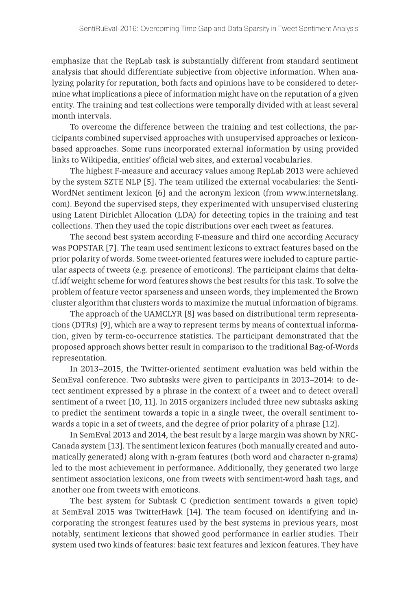emphasize that the RepLab task is substantially different from standard sentiment analysis that should differentiate subjective from objective information. When analyzing polarity for reputation, both facts and opinions have to be considered to determine what implications a piece of information might have on the reputation of a given entity. The training and test collections were temporally divided with at least several month intervals.

To overcome the difference between the training and test collections, the participants combined supervised approaches with unsupervised approaches or lexiconbased approaches. Some runs incorporated external information by using provided links to Wikipedia, entities' official web sites, and external vocabularies.

The highest F-measure and accuracy values among RepLab 2013 were achieved by the system SZTE NLP [5]. The team utilized the external vocabularies: the Senti-WordNet sentiment lexicon [6] and the acronym lexicon (from www.internetslang. com). Beyond the supervised steps, they experimented with unsupervised clustering using Latent Dirichlet Allocation (LDA) for detecting topics in the training and test collections. Then they used the topic distributions over each tweet as features.

The second best system according F-measure and third one according Accuracy was POPSTAR [7]. The team used sentiment lexicons to extract features based on the prior polarity of words. Some tweet-oriented features were included to capture particular aspects of tweets (e.g. presence of emoticons). The participant claims that deltatf.idf weight scheme for word features shows the best results for this task. To solve the problem of feature vector sparseness and unseen words, they implemented the Brown cluster algorithm that clusters words to maximize the mutual information of bigrams.

The approach of the UAMCLYR [8] was based on distributional term representations (DTRs) [9], which are a way to represent terms by means of contextual information, given by term-co-occurrence statistics. The participant demonstrated that the proposed approach shows better result in comparison to the traditional Bag-of-Words representation.

In 2013–2015, the Twitter-oriented sentiment evaluation was held within the SemEval conference. Two subtasks were given to participants in 2013–2014: to detect sentiment expressed by a phrase in the context of a tweet and to detect overall sentiment of a tweet [10, 11]. In 2015 organizers included three new subtasks asking to predict the sentiment towards a topic in a single tweet, the overall sentiment towards a topic in a set of tweets, and the degree of prior polarity of a phrase [12].

In SemEval 2013 and 2014, the best result by a large margin was shown by NRC-Canada system [13]. The sentiment lexicon features (both manually created and automatically generated) along with n-gram features (both word and character n-grams) led to the most achievement in performance. Additionally, they generated two large sentiment association lexicons, one from tweets with sentiment-word hash tags, and another one from tweets with emoticons.

The best system for Subtask C (prediction sentiment towards a given topic) at SemEval 2015 was TwitterHawk [14]. The team focused on identifying and incorporating the strongest features used by the best systems in previous years, most notably, sentiment lexicons that showed good performance in earlier studies. Their system used two kinds of features: basic text features and lexicon features. They have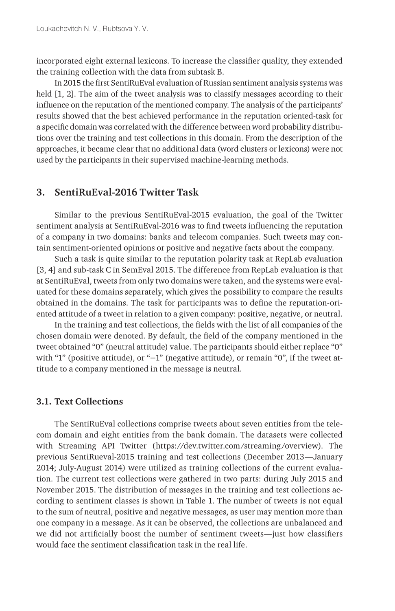incorporated eight external lexicons. To increase the classifier quality, they extended the training collection with the data from subtask B.

In 2015 the first SentiRuEval evaluation of Russian sentiment analysis systems was held [1, 2]. The aim of the tweet analysis was to classify messages according to their influence on the reputation of the mentioned company. The analysis of the participants' results showed that the best achieved performance in the reputation oriented-task for a specific domain was correlated with the difference between word probability distributions over the training and test collections in this domain. From the description of the approaches, it became clear that no additional data (word clusters or lexicons) were not used by the participants in their supervised machine-learning methods.

#### **3. SentiRuEval-2016 Twitter Task**

Similar to the previous SentiRuEval-2015 evaluation, the goal of the Twitter sentiment analysis at SentiRuEval-2016 was to find tweets influencing the reputation of a company in two domains: banks and telecom companies. Such tweets may contain sentiment-oriented opinions or positive and negative facts about the company.

Such a task is quite similar to the reputation polarity task at RepLab evaluation [3, 4] and sub-task C in SemEval 2015. The difference from RepLab evaluation is that at SentiRuEval, tweets from only two domains were taken, and the systems were evaluated for these domains separately, which gives the possibility to compare the results obtained in the domains. The task for participants was to define the reputation-oriented attitude of a tweet in relation to a given company: positive, negative, or neutral.

In the training and test collections, the fields with the list of all companies of the chosen domain were denoted. By default, the field of the company mentioned in the tweet obtained "0" (neutral attitude) value. The participants should either replace "0" with "1" (positive attitude), or "-1" (negative attitude), or remain "0", if the tweet attitude to a company mentioned in the message is neutral.

#### **3.1. Text Collections**

The SentiRuEval collections comprise tweets about seven entities from the telecom domain and eight entities from the bank domain. The datasets were collected with Streaming API Twitter (https://dev.twitter.com/streaming/overview). The previous SentiRueval-2015 training and test collections (December 2013—January 2014; July-August 2014) were utilized as training collections of the current evaluation. The current test collections were gathered in two parts: during July 2015 and November 2015. The distribution of messages in the training and test collections according to sentiment classes is shown in Table 1. The number of tweets is not equal to the sum of neutral, positive and negative messages, as user may mention more than one company in a message. As it can be observed, the collections are unbalanced and we did not artificially boost the number of sentiment tweets—just how classifiers would face the sentiment classification task in the real life.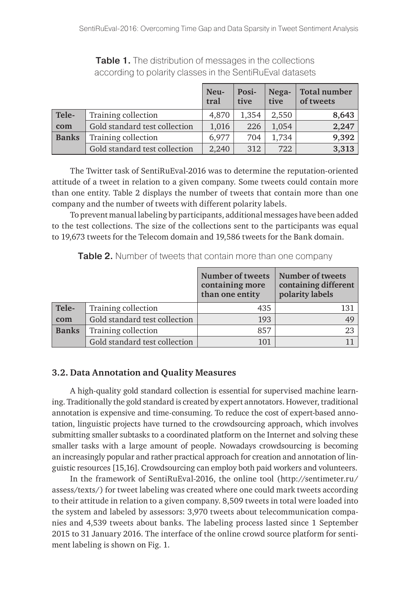|              |                               | Neu-<br>tral | Posi-<br>tive | Nega-<br>tive | Total number<br>of tweets |
|--------------|-------------------------------|--------------|---------------|---------------|---------------------------|
| Tele-        | Training collection           | 4.870        | 1.354         | 2.550         | 8,643                     |
| com          | Gold standard test collection | 1,016        | 226           | 1,054         | 2,247                     |
| <b>Banks</b> | Training collection           | 6,977        | 704           | 1,734         | 9,392                     |
|              | Gold standard test collection | 2,240        | 312           | 722           | 3,313                     |

Table 1. The distribution of messages in the collections according to polarity classes in the SentiRuEval datasets

The Twitter task of SentiRuEval-2016 was to determine the reputation-oriented attitude of a tweet in relation to a given company. Some tweets could contain more than one entity. Table 2 displays the number of tweets that contain more than one company and the number of tweets with different polarity labels.

To prevent manual labeling by participants, additional messages have been added to the test collections. The size of the collections sent to the participants was equal to 19,673 tweets for the Telecom domain and 19,586 tweets for the Bank domain.

|              |                               | Number of tweets<br>containing more<br>than one entity | Number of tweets<br>containing different<br>polarity labels |
|--------------|-------------------------------|--------------------------------------------------------|-------------------------------------------------------------|
| Tele-        | Training collection           | 435                                                    | 131                                                         |
| com          | Gold standard test collection | 193                                                    | 49                                                          |
| <b>Banks</b> | Training collection           | 857                                                    | 23                                                          |
|              | Gold standard test collection | 101                                                    |                                                             |

Table 2. Number of tweets that contain more than one company

#### **3.2. Data Annotation and Quality Measures**

A high-quality gold standard collection is essential for supervised machine learning. Traditionally the gold standard is created by expert annotators. However, traditional annotation is expensive and time-consuming. To reduce the cost of expert-based annotation, linguistic projects have turned to the crowdsourcing approach, which involves submitting smaller subtasks to a coordinated platform on the Internet and solving these smaller tasks with a large amount of people. Nowadays crowdsourcing is becoming an increasingly popular and rather practical approach for creation and annotation of linguistic resources [15,16]. Crowdsourcing can employ both paid workers and volunteers.

In the framework of SentiRuEval-2016, the online tool (http://sentimeter.ru/ assess/texts/) for tweet labeling was created where one could mark tweets according to their attitude in relation to a given company. 8,509 tweets in total were loaded into the system and labeled by assessors: 3,970 tweets about telecommunication companies and 4,539 tweets about banks. The labeling process lasted since 1 September 2015 to 31 January 2016. The interface of the online crowd source platform for sentiment labeling is shown on Fig. 1.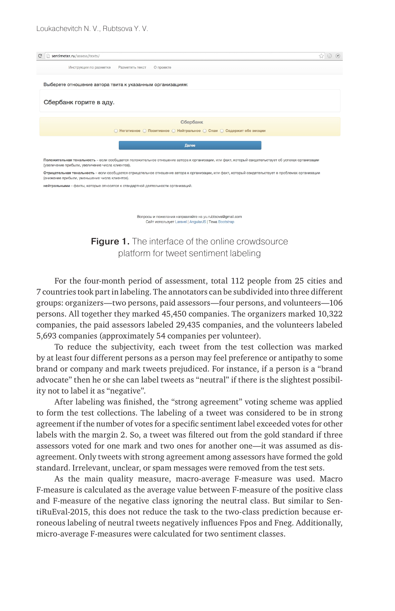

(увеличение прибыли, увеличение числя клиентов)

Отрицательная тональность - если сообщается отрицательное отношение автора к организации, или факт, который свидетельствует о проблемах организации (снижение прибыли, уменьшение числа клиентов).

нейтральными - факты, которые относятся к стандартной деятельности организаций

Вопросы и пожелания направляйте на vu.rubtsova@gmail.com Сайт использует Laravel | AngularJS | Тема Boots

**Figure 1.** The interface of the online crowdsource platform for tweet sentiment labeling

For the four-month period of assessment, total 112 people from 25 cities and 7 countries took part in labeling. The annotators can be subdivided into three different groups: organizers—two persons, paid assessors—four persons, and volunteers—106 persons. All together they marked 45,450 companies. The organizers marked 10,322 companies, the paid assessors labeled 29,435 companies, and the volunteers labeled 5,693 companies (approximately 54 companies per volunteer).

To reduce the subjectivity, each tweet from the test collection was marked by at least four different persons as a person may feel preference or antipathy to some brand or company and mark tweets prejudiced. For instance, if a person is a "brand advocate" then he or she can label tweets as "neutral" if there is the slightest possibility not to label it as "negative".

After labeling was finished, the "strong agreement" voting scheme was applied to form the test collections. The labeling of a tweet was considered to be in strong agreement if the number of votes for a specific sentiment label exceeded votes for other labels with the margin 2. So, a tweet was filtered out from the gold standard if three assessors voted for one mark and two ones for another one—it was assumed as disagreement. Only tweets with strong agreement among assessors have formed the gold standard. Irrelevant, unclear, or spam messages were removed from the test sets.

As the main quality measure, macro-average F-measure was used. Macro F-measure is calculated as the average value between F-measure of the positive class and F-measure of the negative class ignoring the neutral class. But similar to SentiRuEval-2015, this does not reduce the task to the two-class prediction because erroneous labeling of neutral tweets negatively influences Fpos and Fneg. Additionally, micro-average F-measures were calculated for two sentiment classes.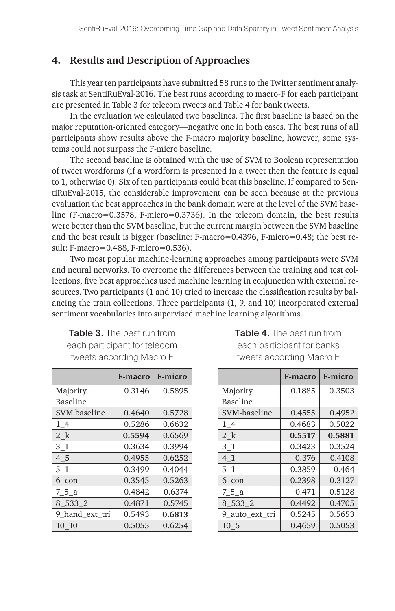#### **4. Results and Description of Approaches**

This year ten participants have submitted 58 runs to the Twitter sentiment analysis task at SentiRuEval-2016. The best runs according to macro-F for each participant are presented in Table 3 for telecom tweets and Table 4 for bank tweets.

In the evaluation we calculated two baselines. The first baseline is based on the major reputation-oriented category—negative one in both cases. The best runs of all participants show results above the F-macro majority baseline, however, some systems could not surpass the F-micro baseline.

The second baseline is obtained with the use of SVM to Boolean representation of tweet wordforms (if a wordform is presented in a tweet then the feature is equal to 1, otherwise 0). Six of ten participants could beat this baseline. If compared to SentiRuEval-2015, the considerable improvement can be seen because at the previous evaluation the best approaches in the bank domain were at the level of the SVM baseline (F-macro=0.3578, F-micro=0.3736). In the telecom domain, the best results were better than the SVM baseline, but the current margin between the SVM baseline and the best result is bigger (baseline: F-macro=0.4396, F-micro=0.48; the best result: F-macro=0.488, F-micro=0.536).

Two most popular machine-learning approaches among participants were SVM and neural networks. To overcome the differences between the training and test collections, five best approaches used machine learning in conjunction with external resources. Two participants (1 and 10) tried to increase the classification results by balancing the train collections. Three participants (1, 9, and 10) incorporated external sentiment vocabularies into supervised machine learning algorithms.

| <b>Table 3.</b> The best run from |
|-----------------------------------|
| each participant for telecom      |
| tweets according Macro F          |

|                 | F-macro | F-micro |
|-----------------|---------|---------|
| Majority        | 0.3146  | 0.5895  |
| <b>Baseline</b> |         |         |
| SVM baseline    | 0.4640  | 0.5728  |
| 14              | 0.5286  | 0.6632  |
| 2 k             | 0.5594  | 0.6569  |
| 3 1             | 0.3634  | 0.3994  |
| 4 5             | 0.4955  | 0.6252  |
| 51              | 0.3499  | 0.4044  |
| 6 con           | 0.3545  | 0.5263  |
| 75 a            | 0.4842  | 0.6374  |
| 8 533 2         | 0.4871  | 0.5745  |
| 9 hand_ext_tri  | 0.5493  | 0.6813  |
| 10 10           | 0.5055  | 0.6254  |

Table 4. The best run from each participant for banks tweets according Macro F

|                 | F-macro | F-micro |
|-----------------|---------|---------|
| Majority        | 0.1885  | 0.3503  |
| Baseline        |         |         |
| SVM-baseline    | 0.4555  | 0.4952  |
| 14              | 0.4683  | 0.5022  |
| 2 k             | 0.5517  | 0.5881  |
| 3 <sub>1</sub>  | 0.3423  | 0.3524  |
| 4 1             | 0.376   | 0.4108  |
| 51              | 0.3859  | 0.464   |
| 6 con           | 0.2398  | 0.3127  |
| 75 a            | 0.471   | 0.5128  |
| 8 533 2         | 0.4492  | 0.4705  |
| 9 auto ext tri  | 0.5245  | 0.5653  |
| 10 <sub>5</sub> | 0.4659  | 0.5053  |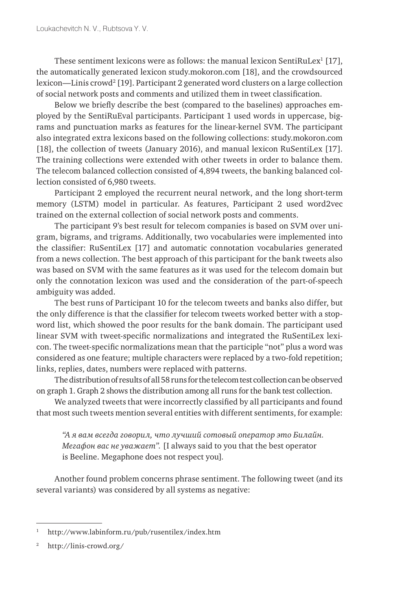These sentiment lexicons were as follows: the manual lexicon Senti $\text{Rulex}^1\left[17\right],$ the automatically generated lexicon study.mokoron.com [18], and the crowdsourced lexicon—Linis crowd² [19]. Participant 2 generated word clusters on a large collection of social network posts and comments and utilized them in tweet classification.

Below we briefly describe the best (compared to the baselines) approaches employed by the SentiRuEval participants. Participant 1 used words in uppercase, bigrams and punctuation marks as features for the linear-kernel SVM. The participant also integrated extra lexicons based on the following collections: study.mokoron.com [18], the collection of tweets (January 2016), and manual lexicon RuSentiLex [17]. The training collections were extended with other tweets in order to balance them. The telecom balanced collection consisted of 4,894 tweets, the banking balanced collection consisted of 6,980 tweets.

Participant 2 employed the recurrent neural network, and the long short-term memory (LSTM) model in particular. As features, Participant 2 used word2vec trained on the external collection of social network posts and comments.

The participant 9's best result for telecom companies is based on SVM over unigram, bigrams, and trigrams. Additionally, two vocabularies were implemented into the classifier: RuSentiLex [17] and automatic connotation vocabularies generated from a news collection. The best approach of this participant for the bank tweets also was based on SVM with the same features as it was used for the telecom domain but only the connotation lexicon was used and the consideration of the part-of-speech ambiguity was added.

The best runs of Participant 10 for the telecom tweets and banks also differ, but the only difference is that the classifier for telecom tweets worked better with a stopword list, which showed the poor results for the bank domain. The participant used linear SVM with tweet-specific normalizations and integrated the RuSentiLex lexicon. The tweet-specific normalizations mean that the participle "not" plus a word was considered as one feature; multiple characters were replaced by a two-fold repetition; links, replies, dates, numbers were replaced with patterns.

The distribution of results of all 58 runs for the telecom test collection can be observed on graph 1. Graph 2 shows the distribution among all runs for the bank test collection.

We analyzed tweets that were incorrectly classified by all participants and found that most such tweets mention several entities with different sentiments, for example:

*"А я вам всегда говорил, что лучший сотовый оператор это Билайн. Мегафон вас не уважает".* [I always said to you that the best operator is Beeline. Megaphone does not respect you]*.*

Another found problem concerns phrase sentiment. The following tweet (and its several variants) was considered by all systems as negative:

<sup>1</sup> http://www.labinform.ru/pub/rusentilex/index.htm

<sup>2</sup> http://linis-crowd.org/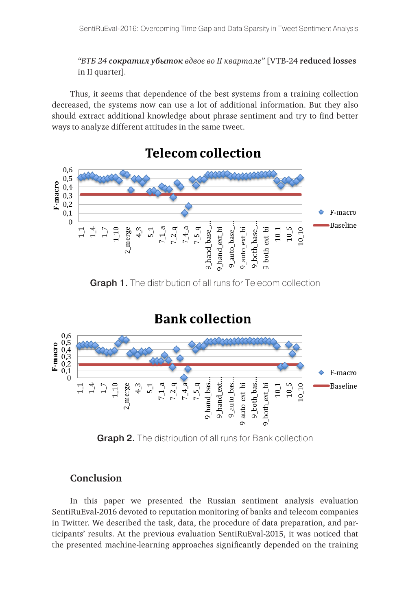*"ВТБ 24 сократил убыток вдвое во II квартале"* [VTB-24 **reduced losses** in II quarter]*.* 

Thus, it seems that dependence of the best systems from a training collection decreased, the systems now can use a lot of additional information. But they also should extract additional knowledge about phrase sentiment and try to find better ways to analyze different attitudes in the same tweet.



Graph 1. The distribution of all runs for Telecom collection

## **Bank collection**



**Graph 2.** The distribution of all runs for Bank collection

### **Conclusion**

In this paper we presented the Russian sentiment analysis evaluation SentiRuEval-2016 devoted to reputation monitoring of banks and telecom companies in Twitter. We described the task, data, the procedure of data preparation, and participants' results. At the previous evaluation SentiRuEval-2015, it was noticed that the presented machine-learning approaches significantly depended on the training

# **Telecom collection**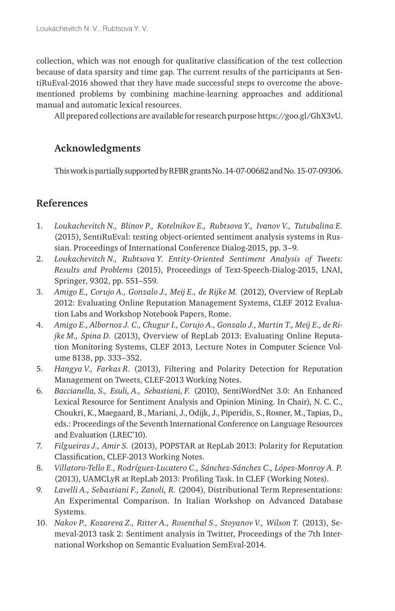collection, which was not enough for qualitative classification of the test collection because of data sparsity and time gap. The current results of the participants at SentiRuEval-2016 showed that they have made successful steps to overcome the abovementioned problems by combining machine-learning approaches and additional manual and automatic lexical resources.

All prepared collections are available for research purpose https://goo.gl/GhX3vU.

### **Acknowledgments**

This work is partially supported by RFBR grants No. 14-07-00682 and No.15-07-09306.

### **References**

- 1. *Loukachevitch N., Blinov P., Kotelnikov E., Rubtsova Y., Ivanov V., Tutubalina E.*  (2015), SentiRuEval: testing object-oriented sentiment analysis systems in Russian. Proceedings of International Conference Dialog-2015, pp. 3–9.
- 2. *Loukachevitch N., Rubtsova Y. Entity-Oriented Sentiment Analysis of Tweets: Results and Problems* (2015), Proceedings of Text-Speech-Dialog-2015, LNAI, Springer, 9302, pp. 551–559.
- 3. *Amigo E., Corujo A., Gonzalo J., Meij E., de Rijke M.* (2012), Overview of RepLab 2012: Evaluating Online Reputation Management Systems, CLEF 2012 Evaluation Labs and Workshop Notebook Papers, Rome.
- 4. *Amigo E., Albornoz J. C., Chugur I., Corujo A., Gonzalo J., Martin T., Meij E., de Rijke M., Spina D.* (2013), Overview of RepLab 2013: Evaluating Online Reputation Monitoring Systems, CLEF 2013, Lecture Notes in Computer Science Volume 8138, pp. 333–352.
- 5. *Hangya V., Farkas R.* (2013), Filtering and Polarity Detection for Reputation Management on Tweets, CLEF-2013 Working Notes.
- 6. *Baccianella, S., Esuli, A., Sebastiani, F.* (2010), SentiWordNet 3.0: An Enhanced Lexical Resource for Sentiment Analysis and Opinion Mining. In Chair), N. C. C., Choukri, K., Maegaard, B., Mariani, J., Odijk, J., Piperidis, S., Rosner, M., Tapias, D., eds.: Proceedings of the Seventh International Conference on Language Resources and Evaluation (LREC'10).
- 7. *Filgueiras J., Amir S.* (2013), POPSTAR at RepLab 2013: Polarity for Reputation Classification, CLEF-2013 Working Notes.
- 8. *Villatoro-Tello E., Rodríguez-Lucatero C., Sánchez-Sánchez C., López-Monroy A. P.*  (2013), UAMCLyR at RepLab 2013: Profiling Task. In CLEF (Working Notes).
- 9. *Lavelli A., Sebastiani F., Zanoli, R.* (2004), Distributional Term Representations: An Experimental Comparison. In Italian Workshop on Advanced Database Systems.
- 10. *Nakov P., Kozareva Z., Ritter A., Rosenthal S., Stoyanov V., Wilson T.* (2013), Semeval-2013 task 2: Sentiment analysis in Twitter, Proceedings of the 7th International Workshop on Semantic Evaluation SemEval-2014.